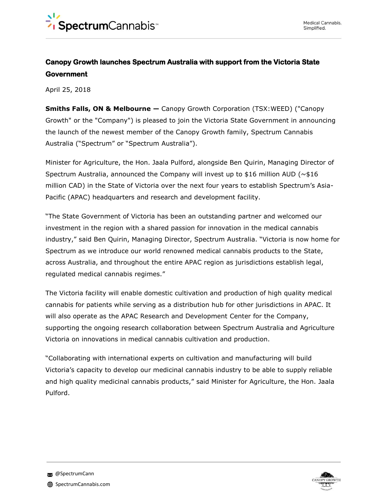## **Canopy Growth launches Spectrum Australia with support from the Victoria State Government**

April 25, 2018

**Smiths Falls, ON & Melbourne —** Canopy Growth Corporation (TSX:WEED) ("Canopy Growth" or the "Company") is pleased to join the Victoria State Government in announcing the launch of the newest member of the Canopy Growth family, Spectrum Cannabis Australia ("Spectrum" or "Spectrum Australia").

Minister for Agriculture, the Hon. Jaala Pulford, alongside Ben Quirin, Managing Director of Spectrum Australia, announced the Company will invest up to \$16 million AUD ( $\sim$ \$16 million CAD) in the State of Victoria over the next four years to establish Spectrum's Asia-Pacific (APAC) headquarters and research and development facility.

"The State Government of Victoria has been an outstanding partner and welcomed our investment in the region with a shared passion for innovation in the medical cannabis industry," said Ben Quirin, Managing Director, Spectrum Australia. "Victoria is now home for Spectrum as we introduce our world renowned medical cannabis products to the State, across Australia, and throughout the entire APAC region as jurisdictions establish legal, regulated medical cannabis regimes."

The Victoria facility will enable domestic cultivation and production of high quality medical cannabis for patients while serving as a distribution hub for other jurisdictions in APAC. It will also operate as the APAC Research and Development Center for the Company, supporting the ongoing research collaboration between Spectrum Australia and Agriculture Victoria on innovations in medical cannabis cultivation and production.

"Collaborating with international experts on cultivation and manufacturing will build Victoria's capacity to develop our medicinal cannabis industry to be able to supply reliable and high quality medicinal cannabis products," said Minister for Agriculture, the Hon. Jaala Pulford.

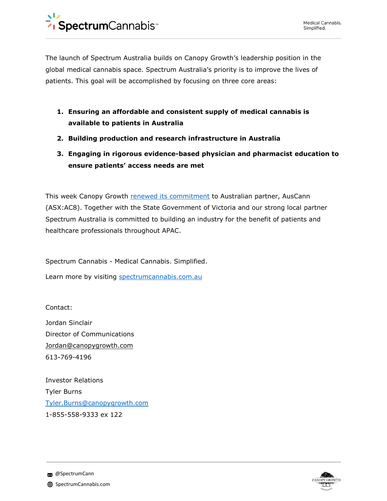The launch of Spectrum Australia builds on Canopy Growth's leadership position in the global medical cannabis space. Spectrum Australia's priority is to improve the lives of patients. This goal will be accomplished by focusing on three core areas:

- **1. Ensuring an affordable and consistent supply of medical cannabis is available to patients in Australia**
- **2. Building production and research infrastructure in Australia**
- **3. Engaging in rigorous evidence-based physician and pharmacist education to ensure patients' access needs are met**

This week Canopy Growth [renewed its commitment](https://www.asx.com.au/asxpdf/20180424/pdf/43tftjv96rlhg3.pdf) to Australian partner, AusCann (ASX:AC8). Together with the State Government of Victoria and our strong local partner Spectrum Australia is committed to building an industry for the benefit of patients and healthcare professionals throughout APAC.

Spectrum Cannabis - Medical Cannabis. Simplified.

Learn more by visiting [spectrumcannabis.com.au](http://tbwa.stateempire.com/spectrum-cannabis/)

Contact:

Jordan Sinclair Director of Communications Jordan@canopygrowth.com 613-769-4196

Investor Relations Tyler Burns [Tyler.Burns@canopygrowth.com](mailto:Tyler.Burns@canopygrowth.com) 1-855-558-9333 ex 122



**@SpectrumCann**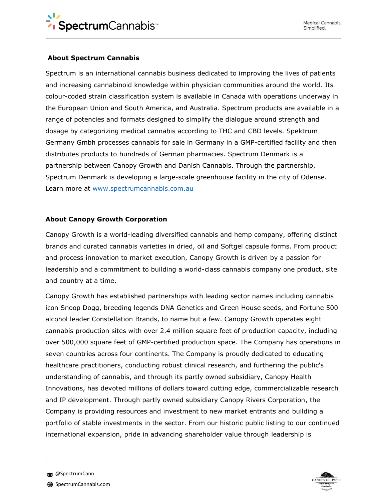## **About Spectrum Cannabis**

Spectrum is an international cannabis business dedicated to improving the lives of patients and increasing cannabinoid knowledge within physician communities around the world. Its colour-coded strain classification system is available in Canada with operations underway in the European Union and South America, and Australia. Spectrum products are available in a range of potencies and formats designed to simplify the dialogue around strength and dosage by categorizing medical cannabis according to THC and CBD levels. Spektrum Germany Gmbh processes cannabis for sale in Germany in a GMP-certified facility and then distributes products to hundreds of German pharmacies. Spectrum Denmark is a partnership between Canopy Growth and Danish Cannabis. Through the partnership, Spectrum Denmark is developing a large-scale greenhouse facility in the city of Odense. Learn more at [www.spectrumcannabis.com.au](http://www.spectrumcannabis.com.au/)

## **About Canopy Growth Corporation**

Canopy Growth is a world-leading diversified cannabis and hemp company, offering distinct brands and curated cannabis varieties in dried, oil and Softgel capsule forms. From product and process innovation to market execution, Canopy Growth is driven by a passion for leadership and a commitment to building a world-class cannabis company one product, site and country at a time.

Canopy Growth has established partnerships with leading sector names including cannabis icon Snoop Dogg, breeding legends DNA Genetics and Green House seeds, and Fortune 500 alcohol leader Constellation Brands, to name but a few. Canopy Growth operates eight cannabis production sites with over 2.4 million square feet of production capacity, including over 500,000 square feet of GMP-certified production space. The Company has operations in seven countries across four continents. The Company is proudly dedicated to educating healthcare practitioners, conducting robust clinical research, and furthering the public's understanding of cannabis, and through its partly owned subsidiary, Canopy Health Innovations, has devoted millions of dollars toward cutting edge, commercializable research and IP development. Through partly owned subsidiary Canopy Rivers Corporation, the Company is providing resources and investment to new market entrants and building a portfolio of stable investments in the sector. From our historic public listing to our continued international expansion, pride in advancing shareholder value through leadership is